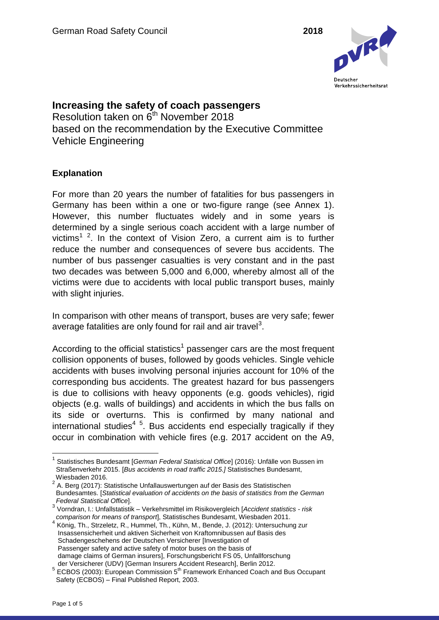

**Increasing the safety of coach passengers** Resolution taken on  $6<sup>th</sup>$  November 2018 based on the recommendation by the Executive Committee Vehicle Engineering

# **Explanation**

For more than 20 years the number of fatalities for bus passengers in Germany has been within a one or two-figure range (see Annex 1). However, this number fluctuates widely and in some years is determined by a single serious coach accident with a large number of victims<sup>1 2</sup>. In the context of Vision Zero, a current aim is to further reduce the number and consequences of severe bus accidents. The number of bus passenger casualties is very constant and in the past two decades was between 5,000 and 6,000, whereby almost all of the victims were due to accidents with local public transport buses, mainly with slight injuries.

In comparison with other means of transport, buses are very safe; fewer average fatalities are only found for rail and air travel<sup>3</sup>.

According to the official statistics<sup>1</sup> passenger cars are the most frequent collision opponents of buses, followed by goods vehicles. Single vehicle accidents with buses involving personal injuries account for 10% of the corresponding bus accidents. The greatest hazard for bus passengers is due to collisions with heavy opponents (e.g. goods vehicles), rigid objects (e.g. walls of buildings) and accidents in which the bus falls on its side or overturns. This is confirmed by many national and international studies<sup>4 5</sup>. Bus accidents end especially tragically if they occur in combination with vehicle fires (e.g. 2017 accident on the A9,

 $\overline{a}$ <sup>1</sup> Statistisches Bundesamt [*German Federal Statistical Office*] (2016): Unfälle von Bussen im Straßenverkehr 2015. [*Bus accidents in road traffic 2015.]* Statistisches Bundesamt,

Wiesbaden 2016.<br><sup>2</sup> A. Berg (2017): Statistische Unfallauswertungen auf der Basis des Statistischen Bundesamtes. [*Statistical evaluation of accidents on the basis of statistics from the German* 

*Federal Statistical Office*]. 3 Vorndran, I.: Unfallstatistik – Verkehrsmittel im Risikovergleich [*Accident statistics - risk* 

*comparison for means of transport*], Statistisches Bundesamt, Wiesbaden 2011. 4 König, Th., Strzeletz, R., Hummel, Th., Kühn, M., Bende, J. (2012): Untersuchung zur Insassensicherheit und aktiven Sicherheit von Kraftomnibussen auf Basis des Schadengeschehens der Deutschen Versicherer [Investigation of Passenger safety and active safety of motor buses on the basis of damage claims of German insurers], Forschungsbericht FS 05, Unfallforschung

der Versicherer (UDV) [German Insurers Accident Research], Berlin 2012.  $5$  ECBOS (2003): European Commission  $5<sup>th</sup>$  Framework Enhanced Coach and Bus Occupant Safety (ECBOS) – Final Published Report, 2003.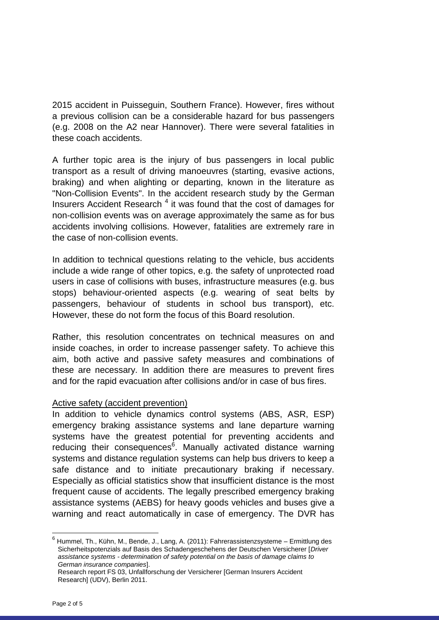2015 accident in Puisseguin, Southern France). However, fires without a previous collision can be a considerable hazard for bus passengers (e.g. 2008 on the A2 near Hannover). There were several fatalities in these coach accidents.

A further topic area is the injury of bus passengers in local public transport as a result of driving manoeuvres (starting, evasive actions, braking) and when alighting or departing, known in the literature as "Non-Collision Events". In the accident research study by the German Insurers Accident Research<sup>4</sup> it was found that the cost of damages for non-collision events was on average approximately the same as for bus accidents involving collisions. However, fatalities are extremely rare in the case of non-collision events.

In addition to technical questions relating to the vehicle, bus accidents include a wide range of other topics, e.g. the safety of unprotected road users in case of collisions with buses, infrastructure measures (e.g. bus stops) behaviour-oriented aspects (e.g. wearing of seat belts by passengers, behaviour of students in school bus transport), etc. However, these do not form the focus of this Board resolution.

Rather, this resolution concentrates on technical measures on and inside coaches, in order to increase passenger safety. To achieve this aim, both active and passive safety measures and combinations of these are necessary. In addition there are measures to prevent fires and for the rapid evacuation after collisions and/or in case of bus fires.

### Active safety (accident prevention)

In addition to vehicle dynamics control systems (ABS, ASR, ESP) emergency braking assistance systems and lane departure warning systems have the greatest potential for preventing accidents and reducing their consequences<sup>6</sup>. Manually activated distance warning systems and distance regulation systems can help bus drivers to keep a safe distance and to initiate precautionary braking if necessary. Especially as official statistics show that insufficient distance is the most frequent cause of accidents. The legally prescribed emergency braking assistance systems (AEBS) for heavy goods vehicles and buses give a warning and react automatically in case of emergency. The DVR has

 6 Hummel, Th., Kühn, M., Bende, J., Lang, A. (2011): Fahrerassistenzsysteme – Ermittlung des Sicherheitspotenzials auf Basis des Schadengeschehens der Deutschen Versicherer [*Driver assistance systems - determination of safety potential on the basis of damage claims to German insurance companies*].

Research report FS 03, Unfallforschung der Versicherer [German Insurers Accident Research] (UDV), Berlin 2011.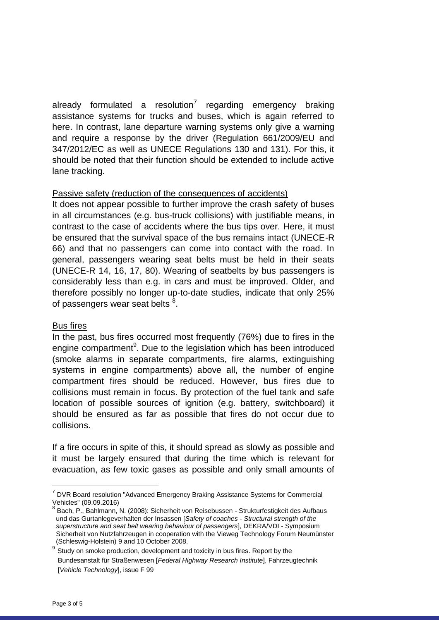already formulated a resolution<sup>7</sup> regarding emergency braking assistance systems for trucks and buses, which is again referred to here. In contrast, lane departure warning systems only give a warning and require a response by the driver (Regulation 661/2009/EU and 347/2012/EC as well as UNECE Regulations 130 and 131). For this, it should be noted that their function should be extended to include active lane tracking.

# Passive safety (reduction of the consequences of accidents)

It does not appear possible to further improve the crash safety of buses in all circumstances (e.g. bus-truck collisions) with justifiable means, in contrast to the case of accidents where the bus tips over. Here, it must be ensured that the survival space of the bus remains intact (UNECE-R 66) and that no passengers can come into contact with the road. In general, passengers wearing seat belts must be held in their seats (UNECE-R 14, 16, 17, 80). Wearing of seatbelts by bus passengers is considerably less than e.g. in cars and must be improved. Older, and therefore possibly no longer up-to-date studies, indicate that only 25% of passengers wear seat belts  $^8$ .

### Bus fires

In the past, bus fires occurred most frequently (76%) due to fires in the engine compartment<sup>9</sup>. Due to the legislation which has been introduced (smoke alarms in separate compartments, fire alarms, extinguishing systems in engine compartments) above all, the number of engine compartment fires should be reduced. However, bus fires due to collisions must remain in focus. By protection of the fuel tank and safe location of possible sources of ignition (e.g. battery, switchboard) it should be ensured as far as possible that fires do not occur due to collisions.

If a fire occurs in spite of this, it should spread as slowly as possible and it must be largely ensured that during the time which is relevant for evacuation, as few toxic gases as possible and only small amounts of

 $\overline{a}$ 

<sup>&</sup>lt;sup>7</sup> DVR Board resolution "Advanced Emergency Braking Assistance Systems for Commercial Vehicles" (09.09.2016)

<sup>&</sup>lt;sup>8</sup> Bach, P., Bahlmann, N. (2008): Sicherheit von Reisebussen - Strukturfestigkeit des Aufbaus und das Gurtanlegeverhalten der Insassen [*Safety of coaches - Structural strength of the superstructure and seat belt wearing behaviour of passengers*], DEKRA/VDI - Symposium Sicherheit von Nutzfahrzeugen in cooperation with the Vieweg Technology Forum Neumünster (Schleswig-Holstein) 9 and 10 October 2008.

<sup>9</sup> Study on smoke production, development and toxicity in bus fires. Report by the Bundesanstalt für Straßenwesen [*Federal Highway Research Institute*], Fahrzeugtechnik [*Vehicle Technology*], issue F 99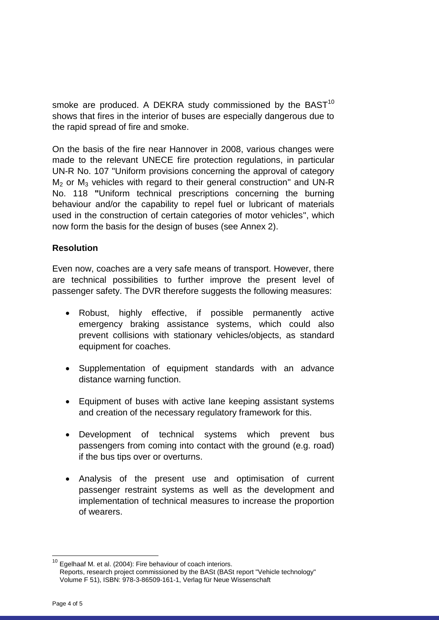smoke are produced. A DEKRA study commissioned by the BAST $10$ shows that fires in the interior of buses are especially dangerous due to the rapid spread of fire and smoke.

On the basis of the fire near Hannover in 2008, various changes were made to the relevant UNECE fire protection regulations, in particular UN-R No. 107 "Uniform provisions concerning the approval of category  $M<sub>2</sub>$  or  $M<sub>3</sub>$  vehicles with regard to their general construction" and UN-R No. 118 **"**Uniform technical prescriptions concerning the burning behaviour and/or the capability to repel fuel or lubricant of materials used in the construction of certain categories of motor vehicles", which now form the basis for the design of buses (see Annex 2).

# **Resolution**

Even now, coaches are a very safe means of transport. However, there are technical possibilities to further improve the present level of passenger safety. The DVR therefore suggests the following measures:

- Robust, highly effective, if possible permanently active emergency braking assistance systems, which could also prevent collisions with stationary vehicles/objects, as standard equipment for coaches.
- Supplementation of equipment standards with an advance distance warning function.
- Equipment of buses with active lane keeping assistant systems and creation of the necessary regulatory framework for this.
- Development of technical systems which prevent bus passengers from coming into contact with the ground (e.g. road) if the bus tips over or overturns.
- Analysis of the present use and optimisation of current passenger restraint systems as well as the development and implementation of technical measures to increase the proportion of wearers.

 $\overline{a}$ 

 $10$  Egelhaaf M. et al. (2004): Fire behaviour of coach interiors.

Reports, research project commissioned by the BASt (BASt report "Vehicle technology" Volume F 51), ISBN: 978-3-86509-161-1, Verlag für Neue Wissenschaft